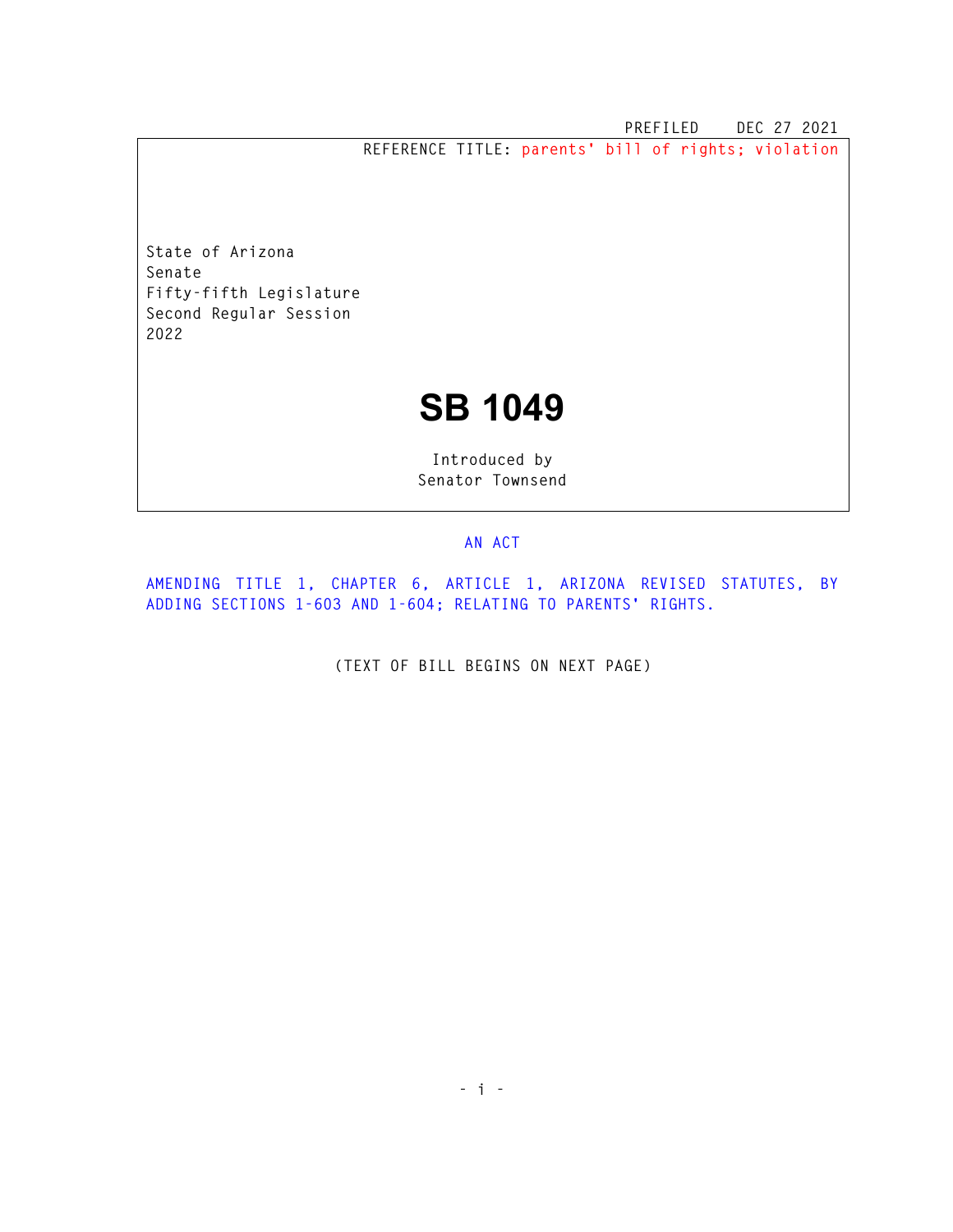**PREFILED DEC 27 2021 REFERENCE TITLE: parents' bill of rights; violation** 

**State of Arizona Senate Fifty-fifth Legislature Second Regular Session 2022** 

## **SB 1049**

**Introduced by Senator Townsend** 

## **AN ACT**

**AMENDING TITLE 1, CHAPTER 6, ARTICLE 1, ARIZONA REVISED STATUTES, BY ADDING SECTIONS 1-603 AND 1-604; RELATING TO PARENTS' RIGHTS.** 

**(TEXT OF BILL BEGINS ON NEXT PAGE)**